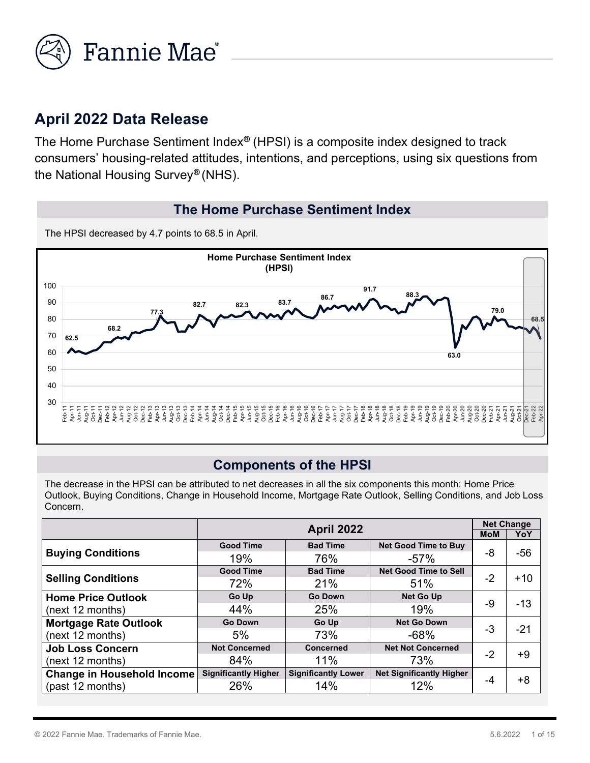

## **April 2022 Data Release**

The Home Purchase Sentiment Index*®* (HPSI) is a composite index designed to track consumers' housing-related attitudes, intentions, and perceptions, using six questions from the National Housing Survey*®* (NHS).

#### **The Home Purchase Sentiment Index**

The HPSI decreased by 4.7 points to 68.5 in April.



#### **Components of the HPSI**

 Outlook, Buying Conditions, Change in Household Income, Mortgage Rate Outlook, Selling Conditions, and Job Loss Concern. The decrease in the HPSI can be attributed to net decreases in all the six components this month: Home Price

|                                   | <b>April 2022</b>           |                            |                                 |      | <b>Net Change</b> |
|-----------------------------------|-----------------------------|----------------------------|---------------------------------|------|-------------------|
|                                   |                             |                            |                                 |      | YoY               |
|                                   | <b>Good Time</b>            | <b>Bad Time</b>            | <b>Net Good Time to Buy</b>     |      | $-56$             |
| <b>Buying Conditions</b>          | 19%                         | 76%                        | $-57%$                          | -8   |                   |
|                                   | <b>Good Time</b>            | <b>Bad Time</b>            | <b>Net Good Time to Sell</b>    |      |                   |
| <b>Selling Conditions</b>         | 72%                         | 21%                        | 51%                             | $-2$ | $+10$             |
| <b>Home Price Outlook</b>         | Go Up                       | <b>Go Down</b>             | <b>Net Go Up</b>                |      |                   |
| (next 12 months)                  | 44%                         | 25%                        | 19%                             | -9   | $-13$             |
| <b>Mortgage Rate Outlook</b>      | <b>Go Down</b>              | Go Up                      | <b>Net Go Down</b>              |      |                   |
| (next 12 months)                  | 5%                          | 73%                        | $-68%$                          | -3   | $-21$             |
| <b>Job Loss Concern</b>           | <b>Not Concerned</b>        | Concerned                  | <b>Net Not Concerned</b>        |      | +9                |
| (next 12 months)                  | 84%                         | 11%                        | 73%                             | $-2$ |                   |
| <b>Change in Household Income</b> | <b>Significantly Higher</b> | <b>Significantly Lower</b> | <b>Net Significantly Higher</b> |      |                   |
| (past 12 months)                  | 26%                         | 14%                        | 12%                             | -4   | +8                |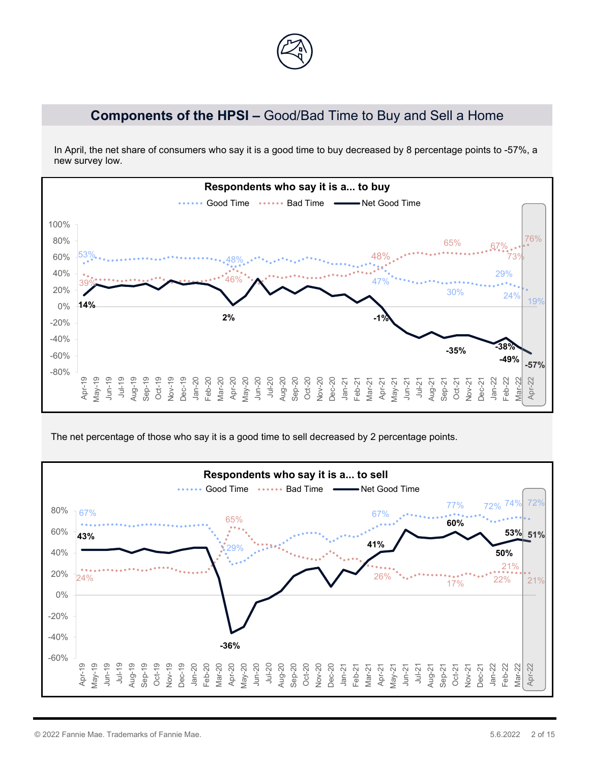

## **Components of the HPSI –** Good/Bad Time to Buy and Sell a Home

In April, the net share of consumers who say it is a good time to buy decreased by 8 percentage points to -57%, a new survey low.



The net percentage of those who say it is a good time to sell decreased by 2 percentage points.

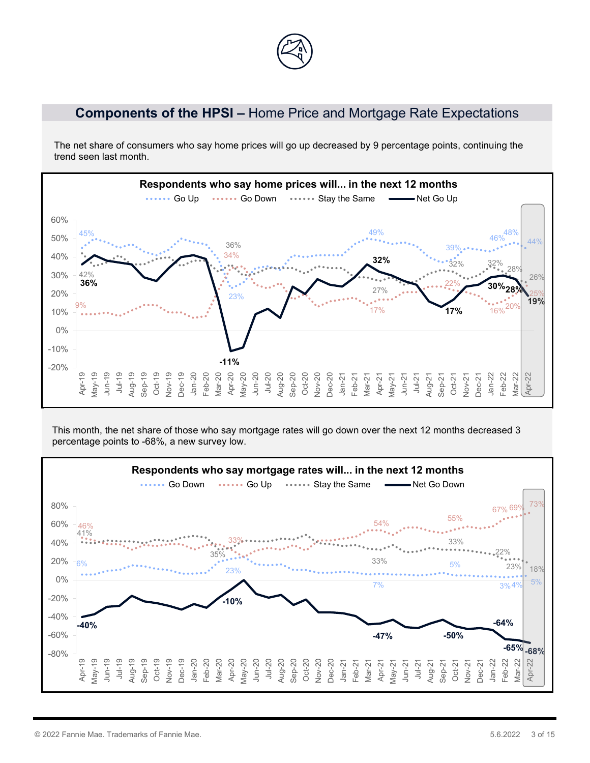## **Components of the HPSI –** Home Price and Mortgage Rate Expectations

The net share of consumers who say home prices will go up decreased by 9 percentage points, continuing the trend seen last month.



This month, the net share of those who say mortgage rates will go down over the next 12 months decreased 3 percentage points to -68%, a new survey low.

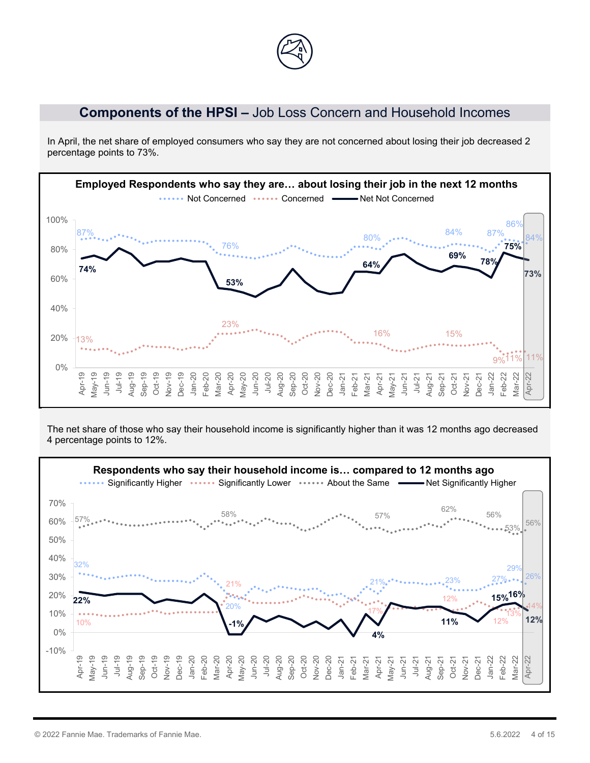

#### **Components of the HPSI –** Job Loss Concern and Household Incomes

In April, the net share of employed consumers who say they are not concerned about losing their job decreased 2 percentage points to 73%.



The net share of those who say their household income is significantly higher than it was 12 months ago decreased 4 percentage points to 12%.

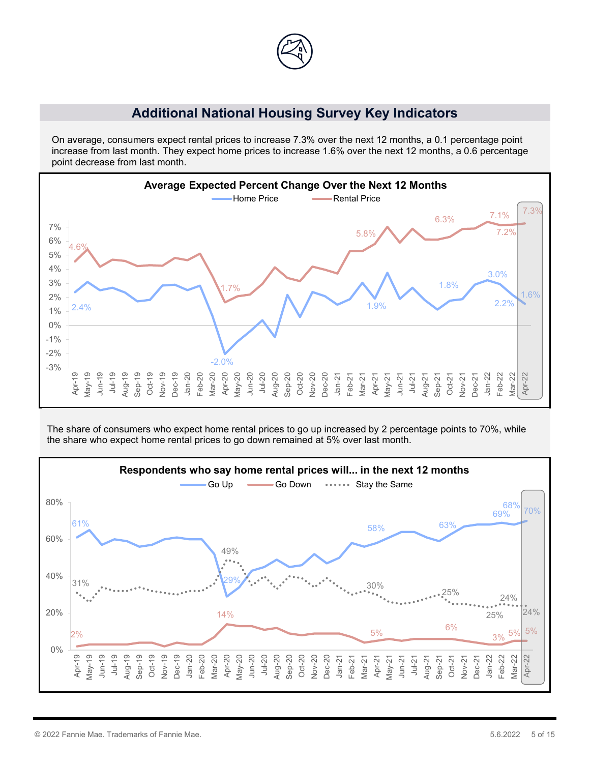![](_page_4_Figure_0.jpeg)

#### **Additional National Housing Survey Key Indicators**

On average, consumers expect rental prices to increase 7.3% over the next 12 months, a 0.1 percentage point increase from last month. They expect home prices to increase 1.6% over the next 12 months, a 0.6 percentage point decrease from last month.

![](_page_4_Figure_3.jpeg)

The share of consumers who expect home rental prices to go up increased by 2 percentage points to 70%, while the share who expect home rental prices to go down remained at 5% over last month.

![](_page_4_Figure_5.jpeg)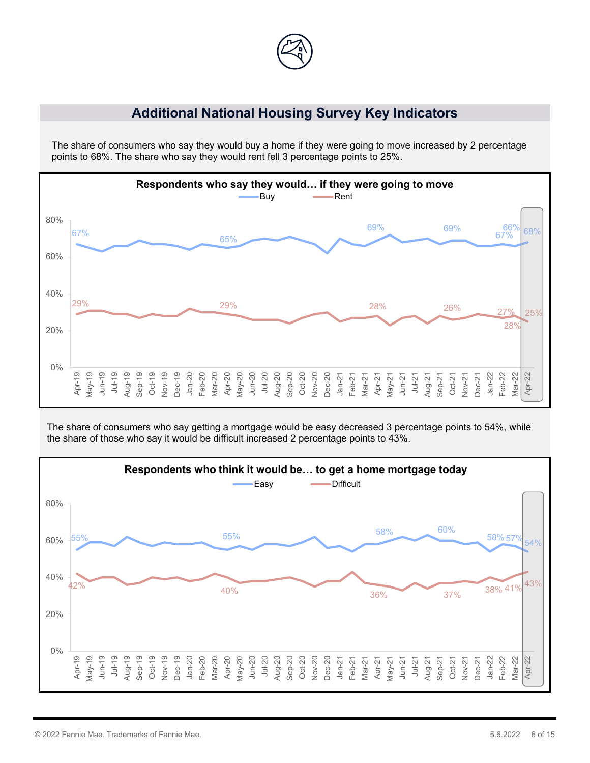![](_page_5_Picture_0.jpeg)

#### **Additional National Housing Survey Key Indicators**

The share of consumers who say they would buy a home if they were going to move increased by 2 percentage points to 68%. The share who say they would rent fell 3 percentage points to 25%.

![](_page_5_Figure_3.jpeg)

The share of consumers who say getting a mortgage would be easy decreased 3 percentage points to 54%, while the share of those who say it would be difficult increased 2 percentage points to 43%.

![](_page_5_Figure_5.jpeg)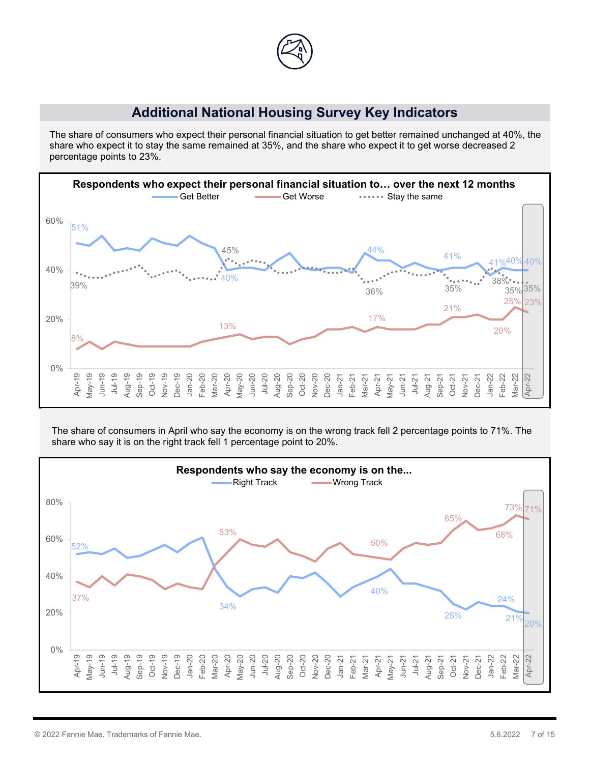![](_page_6_Figure_0.jpeg)

### **Additional National Housing Survey Key Indicators**

The share of consumers who expect their personal financial situation to get better remained unchanged at 40%, the share who expect it to stay the same remained at 35%, and the share who expect it to get worse decreased 2 percentage points to 23%.

![](_page_6_Figure_3.jpeg)

The share of consumers in April who say the economy is on the wrong track fell 2 percentage points to 71%. The share who say it is on the right track fell 1 percentage point to 20%.

![](_page_6_Figure_5.jpeg)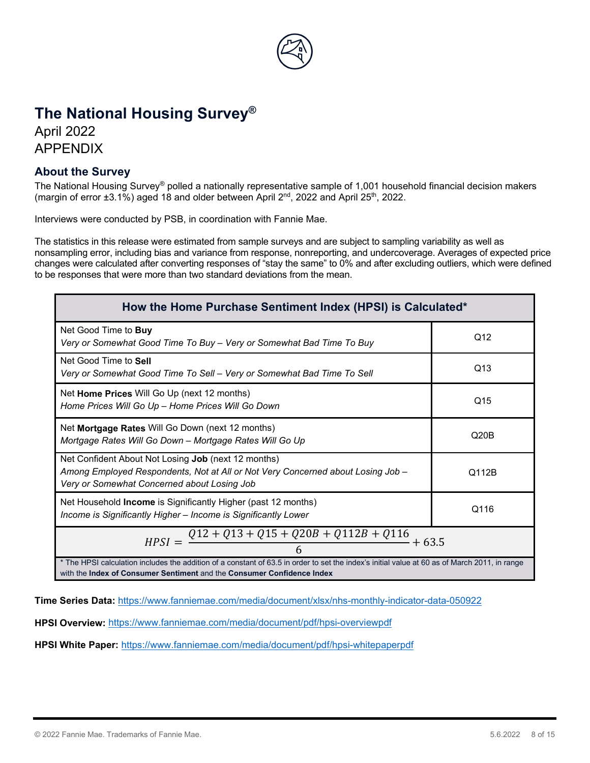![](_page_7_Picture_0.jpeg)

# **The National Housing Survey®**

April 2022 APPENDIX

#### **About the Survey**

The National Housing Survey® polled a nationally representative sample of 1,001 household financial decision makers (margin of error  $\pm 3.1\%$ ) aged 18 and older between April  $2<sup>nd</sup>$ , 2022 and April 25<sup>th</sup>, 2022.

Interviews were conducted by PSB, in coordination with Fannie Mae.

The statistics in this release were estimated from sample surveys and are subject to sampling variability as well as nonsampling error, including bias and variance from response, nonreporting, and undercoverage. Averages of expected price changes were calculated after converting responses of "stay the same" to 0% and after excluding outliers, which were defined to be responses that were more than two standard deviations from the mean.

| How the Home Purchase Sentiment Index (HPSI) is Calculated*                                                                                                                                                                           |                 |  |  |  |
|---------------------------------------------------------------------------------------------------------------------------------------------------------------------------------------------------------------------------------------|-----------------|--|--|--|
| Net Good Time to <b>Buy</b><br>Very or Somewhat Good Time To Buy – Very or Somewhat Bad Time To Buy                                                                                                                                   | Q12             |  |  |  |
| Net Good Time to Sell<br>Very or Somewhat Good Time To Sell – Very or Somewhat Bad Time To Sell                                                                                                                                       | Q <sub>13</sub> |  |  |  |
| Net Home Prices Will Go Up (next 12 months)<br>Home Prices Will Go Up - Home Prices Will Go Down                                                                                                                                      | Q15             |  |  |  |
| Net Mortgage Rates Will Go Down (next 12 months)<br>Q20B<br>Mortgage Rates Will Go Down - Mortgage Rates Will Go Up                                                                                                                   |                 |  |  |  |
| Net Confident About Not Losing Job (next 12 months)<br>Among Employed Respondents, Not at All or Not Very Concerned about Losing Job -<br>Q112B<br>Very or Somewhat Concerned about Losing Job                                        |                 |  |  |  |
| Net Household Income is Significantly Higher (past 12 months)<br>Q116<br>Income is Significantly Higher – Income is Significantly Lower                                                                                               |                 |  |  |  |
| $HPSI = \frac{Q12 + Q13 + Q15 + Q20B + Q112B + Q116}{4} + 63.5$                                                                                                                                                                       |                 |  |  |  |
| * The HPSI calculation includes the addition of a constant of 63.5 in order to set the index's initial value at 60 as of March 2011, in range<br>with the <b>Index of Consumer Sentiment</b> and the <b>Consumer Confidence Index</b> |                 |  |  |  |

with the **Index of Consumer Sentiment** and the **Consumer Confidence Index**

**Time Series Data:** <https://www.fanniemae.com/media/document/xlsx/nhs-monthly-indicator-data-050922>

**HPSI Overview:** <https://www.fanniemae.com/media/document/pdf/hpsi-overviewpdf>

**HPSI White Paper:** <https://www.fanniemae.com/media/document/pdf/hpsi-whitepaperpdf>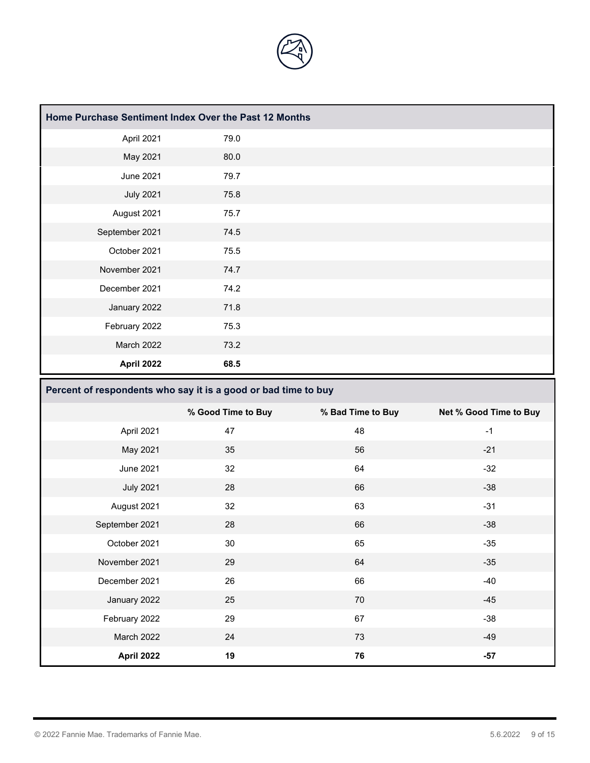![](_page_8_Picture_0.jpeg)

| Home Purchase Sentiment Index Over the Past 12 Months |      |  |  |  |  |
|-------------------------------------------------------|------|--|--|--|--|
| April 2021                                            | 79.0 |  |  |  |  |
| May 2021                                              | 80.0 |  |  |  |  |
| <b>June 2021</b>                                      | 79.7 |  |  |  |  |
| <b>July 2021</b>                                      | 75.8 |  |  |  |  |
| August 2021                                           | 75.7 |  |  |  |  |
| September 2021                                        | 74.5 |  |  |  |  |
| October 2021                                          | 75.5 |  |  |  |  |
| November 2021                                         | 74.7 |  |  |  |  |
| December 2021                                         | 74.2 |  |  |  |  |
| January 2022                                          | 71.8 |  |  |  |  |
| February 2022                                         | 75.3 |  |  |  |  |
| March 2022                                            | 73.2 |  |  |  |  |
| April 2022                                            | 68.5 |  |  |  |  |

## **Percent of respondents who say it is a good or bad time to buy**

|                  | % Good Time to Buy | % Bad Time to Buy | Net % Good Time to Buy |
|------------------|--------------------|-------------------|------------------------|
| April 2021       | 47                 | 48                | $-1$                   |
| May 2021         | 35                 | 56                | $-21$                  |
| June 2021        | 32                 | 64                | $-32$                  |
| <b>July 2021</b> | 28                 | 66                | $-38$                  |
| August 2021      | 32                 | 63                | $-31$                  |
| September 2021   | 28                 | 66                | $-38$                  |
| October 2021     | 30                 | 65                | $-35$                  |
| November 2021    | 29                 | 64                | $-35$                  |
| December 2021    | 26                 | 66                | $-40$                  |
| January 2022     | 25                 | 70                | $-45$                  |
| February 2022    | 29                 | 67                | $-38$                  |
| March 2022       | 24                 | 73                | $-49$                  |
| April 2022       | 19                 | 76                | $-57$                  |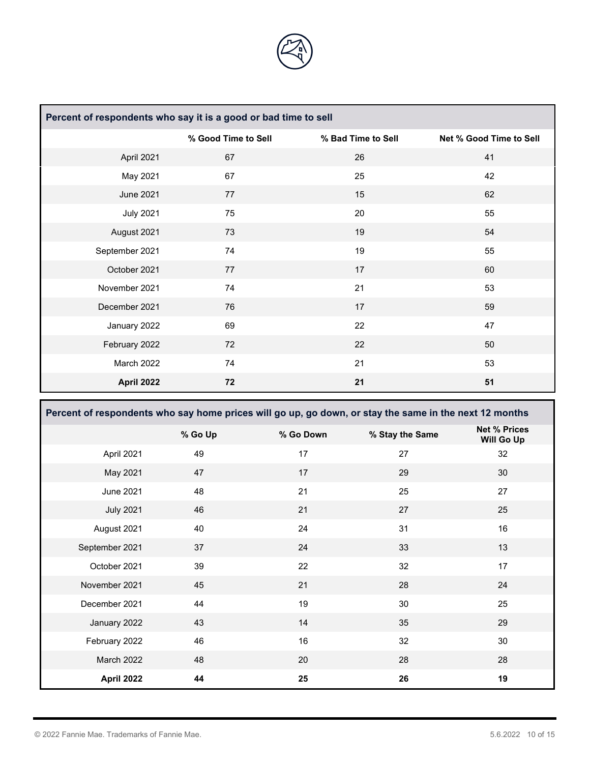![](_page_9_Picture_0.jpeg)

| Percent of respondents who say it is a good or bad time to sell |                     |                    |                         |  |  |
|-----------------------------------------------------------------|---------------------|--------------------|-------------------------|--|--|
|                                                                 | % Good Time to Sell | % Bad Time to Sell | Net % Good Time to Sell |  |  |
| April 2021                                                      | 67                  | 26                 | 41                      |  |  |
| May 2021                                                        | 67                  | 25                 | 42                      |  |  |
| <b>June 2021</b>                                                | 77                  | 15                 | 62                      |  |  |
| <b>July 2021</b>                                                | 75                  | 20                 | 55                      |  |  |
| August 2021                                                     | 73                  | 19                 | 54                      |  |  |
| September 2021                                                  | 74                  | 19                 | 55                      |  |  |
| October 2021                                                    | 77                  | 17                 | 60                      |  |  |
| November 2021                                                   | 74                  | 21                 | 53                      |  |  |
| December 2021                                                   | 76                  | 17                 | 59                      |  |  |
| January 2022                                                    | 69                  | 22                 | 47                      |  |  |
| February 2022                                                   | 72                  | 22                 | 50                      |  |  |
| March 2022                                                      | 74                  | 21                 | 53                      |  |  |
| April 2022                                                      | 72                  | 21                 | 51                      |  |  |

**Percent of respondents who say home prices will go up, go down, or stay the same in the next 12 months**

|                  | % Go Up | % Go Down | % Stay the Same | <b>Net % Prices</b><br>Will Go Up |
|------------------|---------|-----------|-----------------|-----------------------------------|
| April 2021       | 49      | 17        | 27              | 32                                |
| May 2021         | 47      | 17        | 29              | 30                                |
| <b>June 2021</b> | 48      | 21        | 25              | 27                                |
| <b>July 2021</b> | 46      | 21        | 27              | 25                                |
| August 2021      | 40      | 24        | 31              | 16                                |
| September 2021   | 37      | 24        | 33              | 13                                |
| October 2021     | 39      | 22        | 32              | 17                                |
| November 2021    | 45      | 21        | 28              | 24                                |
| December 2021    | 44      | 19        | 30              | 25                                |
| January 2022     | 43      | 14        | 35              | 29                                |
| February 2022    | 46      | 16        | 32              | 30                                |
| March 2022       | 48      | 20        | 28              | 28                                |
| April 2022       | 44      | 25        | 26              | 19                                |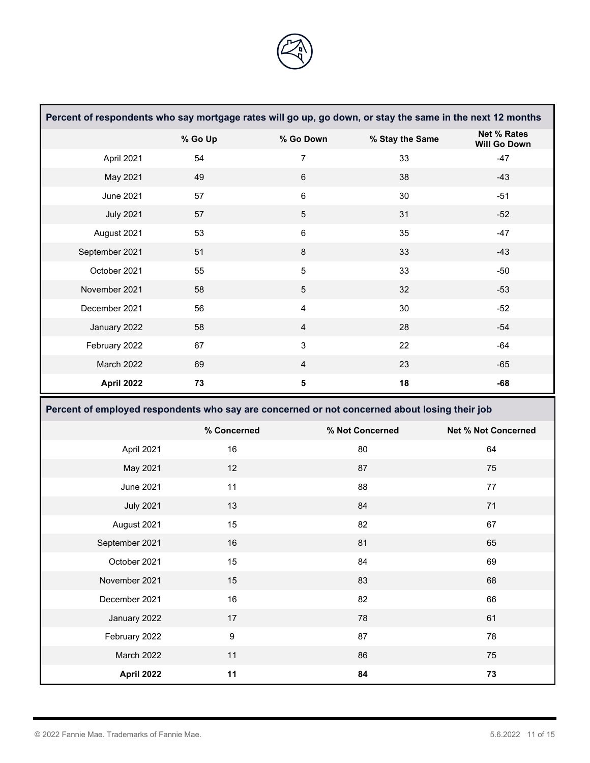![](_page_10_Picture_0.jpeg)

|                                                                                               |                  |                         |                 | Percent of respondents who say mortgage rates will go up, go down, or stay the same in the next 12 months |
|-----------------------------------------------------------------------------------------------|------------------|-------------------------|-----------------|-----------------------------------------------------------------------------------------------------------|
|                                                                                               | % Go Up          | % Go Down               | % Stay the Same | <b>Net % Rates</b><br><b>Will Go Down</b>                                                                 |
| April 2021                                                                                    | 54               | $\overline{7}$          | 33              | $-47$                                                                                                     |
| May 2021                                                                                      | 49               | $\,6\,$                 | 38              | $-43$                                                                                                     |
| <b>June 2021</b>                                                                              | 57               | $\,6\,$                 | 30              | $-51$                                                                                                     |
| <b>July 2021</b>                                                                              | 57               | $\sqrt{5}$              | 31              | $-52$                                                                                                     |
| August 2021                                                                                   | 53               | $\,6\,$                 | 35              | $-47$                                                                                                     |
| September 2021                                                                                | 51               | $\,8\,$                 | 33              | $-43$                                                                                                     |
| October 2021                                                                                  | 55               | $\mathbf 5$             | 33              | $-50$                                                                                                     |
| November 2021                                                                                 | 58               | $\mathbf 5$             | 32              | $-53$                                                                                                     |
| December 2021                                                                                 | 56               | $\overline{\mathbf{4}}$ | 30              | $-52$                                                                                                     |
| January 2022                                                                                  | 58               | $\overline{4}$          | 28              | $-54$                                                                                                     |
| February 2022                                                                                 | 67               | $\sqrt{3}$              | 22              | $-64$                                                                                                     |
| March 2022                                                                                    | 69               | $\overline{4}$          | 23              | $-65$                                                                                                     |
| April 2022                                                                                    | 73               | ${\bf 5}$               | 18              | $-68$                                                                                                     |
| Percent of employed respondents who say are concerned or not concerned about losing their job |                  |                         |                 |                                                                                                           |
|                                                                                               | % Concerned      |                         |                 |                                                                                                           |
|                                                                                               |                  |                         | % Not Concerned | <b>Net % Not Concerned</b>                                                                                |
| April 2021                                                                                    | 16               |                         | 80              | 64                                                                                                        |
| May 2021                                                                                      | 12               |                         | 87              | 75                                                                                                        |
| <b>June 2021</b>                                                                              | 11               |                         | 88              | 77                                                                                                        |
| <b>July 2021</b>                                                                              | 13               |                         | 84              | $71$                                                                                                      |
| August 2021                                                                                   | 15               |                         | 82              | 67                                                                                                        |
| September 2021                                                                                | 16               |                         | 81              | 65                                                                                                        |
| October 2021                                                                                  | 15               |                         | 84              | 69                                                                                                        |
| November 2021                                                                                 | 15               |                         | 83              | 68                                                                                                        |
| December 2021                                                                                 | 16               |                         | 82              | 66                                                                                                        |
| January 2022                                                                                  | 17               |                         | 78              | 61                                                                                                        |
| February 2022                                                                                 | $\boldsymbol{9}$ |                         | 87              | 78                                                                                                        |
| March 2022                                                                                    | 11               |                         | 86              | 75                                                                                                        |

 $\Box$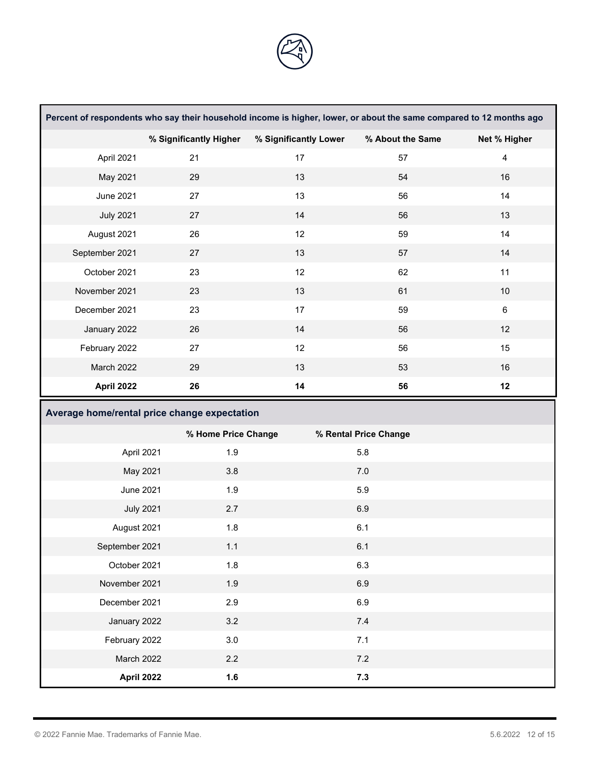![](_page_11_Picture_0.jpeg)

| Percent of respondents who say their household income is higher, lower, or about the same compared to 12 months ago |                        |                       |                       |                         |  |
|---------------------------------------------------------------------------------------------------------------------|------------------------|-----------------------|-----------------------|-------------------------|--|
|                                                                                                                     | % Significantly Higher | % Significantly Lower | % About the Same      | Net % Higher            |  |
| April 2021                                                                                                          | 21                     | 17                    | 57                    | $\overline{\mathbf{4}}$ |  |
| May 2021                                                                                                            | 29                     | 13                    | 54                    | 16                      |  |
| <b>June 2021</b>                                                                                                    | 27                     | 13                    | 56                    | 14                      |  |
| <b>July 2021</b>                                                                                                    | 27                     | 14                    | 56                    | 13                      |  |
| August 2021                                                                                                         | 26                     | 12                    | 59                    | 14                      |  |
| September 2021                                                                                                      | 27                     | 13                    | 57                    | 14                      |  |
| October 2021                                                                                                        | 23                     | 12                    | 62                    | 11                      |  |
| November 2021                                                                                                       | 23                     | 13                    | 61                    | $10$                    |  |
| December 2021                                                                                                       | 23                     | 17                    | 59                    | $\,6\,$                 |  |
| January 2022                                                                                                        | 26                     | 14                    | 56                    | 12                      |  |
| February 2022                                                                                                       | 27                     | 12                    | 56                    | 15                      |  |
| March 2022                                                                                                          | 29                     | 13                    | 53                    | 16                      |  |
| April 2022                                                                                                          | 26                     | 14                    | 56                    | 12                      |  |
| Average home/rental price change expectation                                                                        |                        |                       |                       |                         |  |
|                                                                                                                     |                        |                       |                       |                         |  |
|                                                                                                                     | % Home Price Change    |                       | % Rental Price Change |                         |  |
| April 2021                                                                                                          | 1.9                    |                       | 5.8                   |                         |  |
| May 2021                                                                                                            | 3.8                    |                       | 7.0                   |                         |  |
| <b>June 2021</b>                                                                                                    | 1.9                    |                       | 5.9                   |                         |  |
| <b>July 2021</b>                                                                                                    | 2.7                    |                       | 6.9                   |                         |  |
| August 2021                                                                                                         | 1.8                    |                       | 6.1                   |                         |  |
| September 2021                                                                                                      | $1.1$                  |                       | 6.1                   |                         |  |
| October 2021                                                                                                        | 1.8                    |                       | 6.3                   |                         |  |
| November 2021                                                                                                       | 1.9                    |                       | 6.9                   |                         |  |
| December 2021                                                                                                       | 2.9                    |                       | 6.9                   |                         |  |
| January 2022                                                                                                        | 3.2                    |                       | $7.4$                 |                         |  |
| February 2022                                                                                                       | 3.0                    |                       | 7.1                   |                         |  |
| March 2022                                                                                                          | 2.2                    |                       | 7.2                   |                         |  |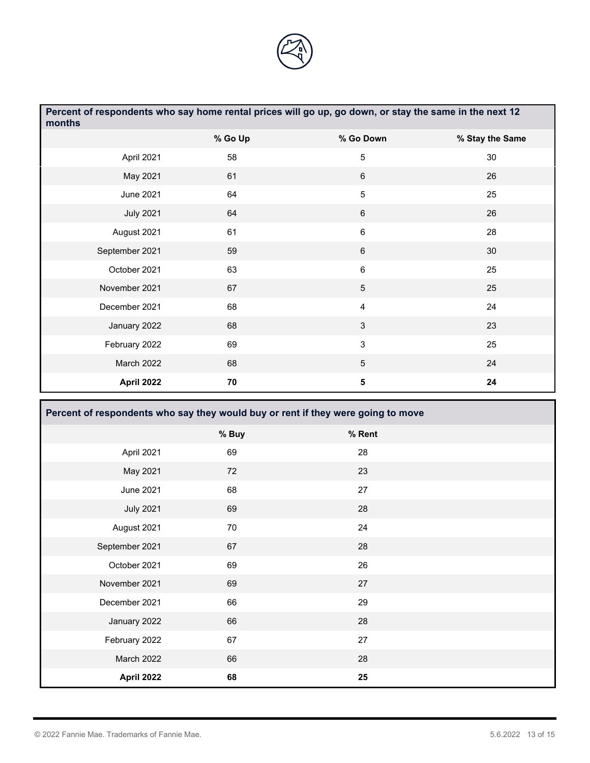![](_page_12_Picture_0.jpeg)

| Percent of respondents who say home rental prices will go up, go down, or stay the same in the next 12<br>months |         |                         |                 |  |  |
|------------------------------------------------------------------------------------------------------------------|---------|-------------------------|-----------------|--|--|
|                                                                                                                  | % Go Up | % Go Down               | % Stay the Same |  |  |
| April 2021                                                                                                       | 58      | $\overline{5}$          | 30              |  |  |
| May 2021                                                                                                         | 61      | 6                       | 26              |  |  |
| <b>June 2021</b>                                                                                                 | 64      | 5                       | 25              |  |  |
| <b>July 2021</b>                                                                                                 | 64      | $\,6$                   | 26              |  |  |
| August 2021                                                                                                      | 61      | $\,6\,$                 | 28              |  |  |
| September 2021                                                                                                   | 59      | 6                       | 30              |  |  |
| October 2021                                                                                                     | 63      | $\,6\,$                 | 25              |  |  |
| November 2021                                                                                                    | 67      | 5                       | 25              |  |  |
| December 2021                                                                                                    | 68      | $\overline{4}$          | 24              |  |  |
| January 2022                                                                                                     | 68      | $\mathfrak{Z}$          | 23              |  |  |
| February 2022                                                                                                    | 69      | 3                       | 25              |  |  |
| March 2022                                                                                                       | 68      | $\overline{5}$          | 24              |  |  |
| <b>April 2022</b>                                                                                                | 70      | $\overline{\mathbf{5}}$ | 24              |  |  |
| Percent of respondents who say they would buy or rent if they were going to move                                 |         |                         |                 |  |  |

|                   | % Buy | % Rent |  |
|-------------------|-------|--------|--|
| April 2021        | 69    | 28     |  |
| May 2021          | 72    | 23     |  |
| <b>June 2021</b>  | 68    | 27     |  |
| <b>July 2021</b>  | 69    | 28     |  |
| August 2021       | 70    | 24     |  |
| September 2021    | 67    | 28     |  |
| October 2021      | 69    | 26     |  |
| November 2021     | 69    | 27     |  |
| December 2021     | 66    | 29     |  |
| January 2022      | 66    | 28     |  |
| February 2022     | 67    | 27     |  |
| March 2022        | 66    | 28     |  |
| <b>April 2022</b> | 68    | 25     |  |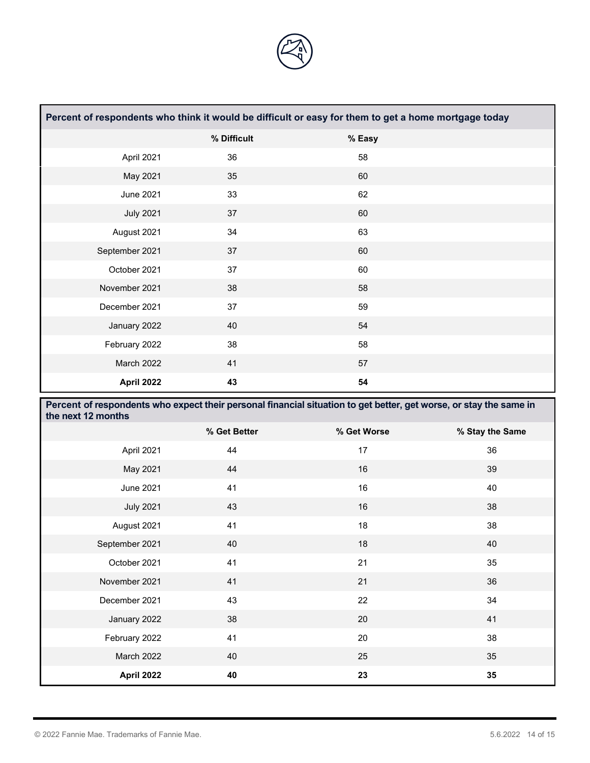![](_page_13_Picture_0.jpeg)

| Percent of respondents who think it would be difficult or easy for them to get a home mortgage today |             |        |  |  |  |
|------------------------------------------------------------------------------------------------------|-------------|--------|--|--|--|
|                                                                                                      | % Difficult | % Easy |  |  |  |
| April 2021                                                                                           | 36          | 58     |  |  |  |
| May 2021                                                                                             | 35          | 60     |  |  |  |
| <b>June 2021</b>                                                                                     | 33          | 62     |  |  |  |
| <b>July 2021</b>                                                                                     | 37          | 60     |  |  |  |
| August 2021                                                                                          | 34          | 63     |  |  |  |
| September 2021                                                                                       | 37          | 60     |  |  |  |
| October 2021                                                                                         | 37          | 60     |  |  |  |
| November 2021                                                                                        | 38          | 58     |  |  |  |
| December 2021                                                                                        | 37          | 59     |  |  |  |
| January 2022                                                                                         | 40          | 54     |  |  |  |
| February 2022                                                                                        | 38          | 58     |  |  |  |
| March 2022                                                                                           | 41          | 57     |  |  |  |
| April 2022                                                                                           | 43          | 54     |  |  |  |

| Percent of respondents who expect their personal financial situation to get better, get worse, or stay the same in<br>the next 12 months |              |             |                 |  |  |
|------------------------------------------------------------------------------------------------------------------------------------------|--------------|-------------|-----------------|--|--|
|                                                                                                                                          | % Get Better | % Get Worse | % Stay the Same |  |  |
| April 2021                                                                                                                               | 44           | 17          | 36              |  |  |
| May 2021                                                                                                                                 | 44           | 16          | 39              |  |  |
| June 2021                                                                                                                                | 41           | 16          | 40              |  |  |
| <b>July 2021</b>                                                                                                                         | 43           | 16          | 38              |  |  |
| August 2021                                                                                                                              | 41           | 18          | 38              |  |  |
| September 2021                                                                                                                           | 40           | 18          | 40              |  |  |
| October 2021                                                                                                                             | 41           | 21          | 35              |  |  |
| November 2021                                                                                                                            | 41           | 21          | 36              |  |  |
| December 2021                                                                                                                            | 43           | 22          | 34              |  |  |
| January 2022                                                                                                                             | 38           | 20          | 41              |  |  |
| February 2022                                                                                                                            | 41           | 20          | 38              |  |  |
| March 2022                                                                                                                               | 40           | 25          | 35              |  |  |
| April 2022                                                                                                                               | 40           | 23          | 35              |  |  |